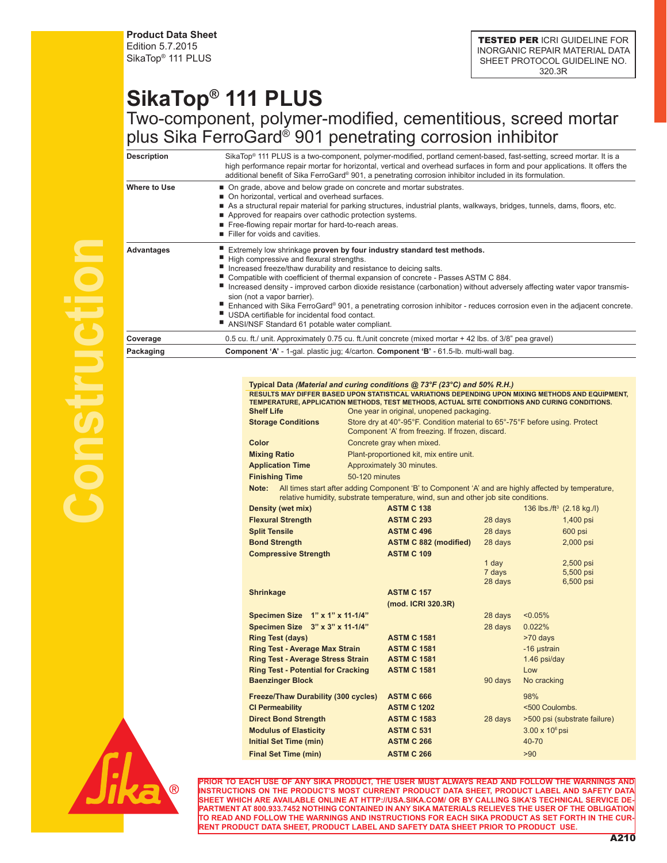**Product Data Sheet** Edition 5.7.2015 SikaTop® 111 PLUS

TESTED PER ICRI GUIDELINE FOR INORGANIC REPAIR MATERIAL DATA SHEET PROTOCOL GUIDELINE NO. 320.3R

## **SikaTop® 111 PLUS** Two-component, polymer-modified, cementitious, screed mortar plus Sika FerroGard® 901 penetrating corrosion inhibitor

| <b>Description</b> | SikaTop <sup>®</sup> 111 PLUS is a two-component, polymer-modified, portland cement-based, fast-setting, screed mortar. It is a<br>high performance repair mortar for horizontal, vertical and overhead surfaces in form and pour applications. It offers the<br>additional benefit of Sika FerroGard® 901, a penetrating corrosion inhibitor included in its formulation.                                                                                                                                                                                                                                                                                           |
|--------------------|----------------------------------------------------------------------------------------------------------------------------------------------------------------------------------------------------------------------------------------------------------------------------------------------------------------------------------------------------------------------------------------------------------------------------------------------------------------------------------------------------------------------------------------------------------------------------------------------------------------------------------------------------------------------|
| Where to Use       | ■ On grade, above and below grade on concrete and mortar substrates.<br>■ On horizontal, vertical and overhead surfaces.<br>As a structural repair material for parking structures, industrial plants, walkways, bridges, tunnels, dams, floors, etc.<br>Approved for reapairs over cathodic protection systems.<br>Free-flowing repair mortar for hard-to-reach areas.<br>Filler for voids and cavities.                                                                                                                                                                                                                                                            |
| Advantages         | Extremely low shrinkage proven by four industry standard test methods.<br>High compressive and flexural strengths.<br>■ Increased freeze/thaw durability and resistance to deicing salts.<br>Compatible with coefficient of thermal expansion of concrete - Passes ASTM C 884.<br>Increased density - improved carbon dioxide resistance (carbonation) without adversely affecting water vapor transmis-<br>sion (not a vapor barrier).<br>Enhanced with Sika FerroGard® 901, a penetrating corrosion inhibitor - reduces corrosion even in the adjacent concrete.<br>USDA certifiable for incidental food contact.<br>ANSI/NSF Standard 61 potable water compliant. |
| Coverage           | 0.5 cu. ft./ unit. Approximately 0.75 cu. ft./unit concrete (mixed mortar + 42 lbs. of 3/8" pea gravel)                                                                                                                                                                                                                                                                                                                                                                                                                                                                                                                                                              |
| Packaging          | Component 'A' - 1-gal. plastic jug; 4/carton. Component 'B' - 61.5-lb. multi-wall bag.                                                                                                                                                                                                                                                                                                                                                                                                                                                                                                                                                                               |

## **Typical Data** *(Material and curing conditions @ 73°F (23°C) and 50% R.H.)* **RESULTS MAY DIFFER BASED UPON STATISTICAL VARIATIONS DEPENDING UPON MIXING METHODS AND EQUIPMENT, TEMPERATURE, APPLICATION METHODS, TEST METHODS, ACTUAL SITE CONDITIONS AND CURING CONDITIONS.**

| <b>Shelf Life</b>         | One year in original, unopened packaging.                                                                                                                                                 |
|---------------------------|-------------------------------------------------------------------------------------------------------------------------------------------------------------------------------------------|
| <b>Storage Conditions</b> | Store dry at 40°-95°F. Condition material to 65°-75°F before using. Protect<br>Component 'A' from freezing. If frozen, discard.                                                           |
| Color                     | Concrete gray when mixed.                                                                                                                                                                 |
| <b>Mixing Ratio</b>       | Plant-proportioned kit, mix entire unit.                                                                                                                                                  |
| <b>Application Time</b>   | Approximately 30 minutes.                                                                                                                                                                 |
| <b>Finishing Time</b>     | 50-120 minutes                                                                                                                                                                            |
| Note:                     | All times start after adding Component 'B' to Component 'A' and are highly affected by temperature,<br>relative humidity, substrate temperature, wind, sun and other job site conditions. |

| relative numidity, substrate temperature, wind, sun and other lob site conditions. |                              |         |                        |                                                  |
|------------------------------------------------------------------------------------|------------------------------|---------|------------------------|--------------------------------------------------|
| <b>Density (wet mix)</b>                                                           | <b>ASTM C 138</b>            |         |                        | 136 lbs./ft <sup>3</sup> $(2.18 \text{ kg.}$ /l) |
| <b>Flexural Strength</b>                                                           | <b>ASTM C 293</b>            | 28 days |                        | 1,400 psi                                        |
| <b>Split Tensile</b>                                                               | <b>ASTM C 496</b>            | 28 days |                        | 600 psi                                          |
| <b>Bond Strength</b>                                                               | <b>ASTM C 882 (modified)</b> | 28 days |                        | 2,000 psi                                        |
| <b>Compressive Strength</b>                                                        | <b>ASTM C 109</b>            |         |                        |                                                  |
|                                                                                    |                              | 1 day   |                        | 2,500 psi                                        |
|                                                                                    |                              | 7 days  |                        | 5,500 psi                                        |
|                                                                                    |                              | 28 days |                        | 6,500 psi                                        |
| <b>Shrinkage</b>                                                                   | <b>ASTM C 157</b>            |         |                        |                                                  |
|                                                                                    | (mod. ICRI 320.3R)           |         |                        |                                                  |
| Specimen Size 1" x 1" x 11-1/4"                                                    |                              | 28 days | $< 0.05\%$             |                                                  |
| Specimen Size 3" x 3" x 11-1/4"                                                    |                              | 28 days | 0.022%                 |                                                  |
| <b>Ring Test (days)</b>                                                            | <b>ASTM C 1581</b>           |         | >70 days               |                                                  |
| <b>Ring Test - Average Max Strain</b>                                              | <b>ASTM C 1581</b>           |         | -16 ustrain            |                                                  |
| <b>Ring Test - Average Stress Strain</b>                                           | <b>ASTM C 1581</b>           |         | 1.46 psi/day           |                                                  |
| <b>Ring Test - Potential for Cracking</b>                                          | <b>ASTM C 1581</b>           |         | Low                    |                                                  |
| <b>Baenzinger Block</b>                                                            |                              | 90 days | No cracking            |                                                  |
| <b>Freeze/Thaw Durability (300 cycles)</b>                                         | <b>ASTM C 666</b>            |         | 98%                    |                                                  |
| <b>CI Permeability</b>                                                             | <b>ASTM C 1202</b>           |         | <500 Coulombs.         |                                                  |
| <b>Direct Bond Strength</b>                                                        | <b>ASTM C 1583</b>           | 28 days |                        | >500 psi (substrate failure)                     |
| <b>Modulus of Elasticity</b>                                                       | <b>ASTM C 531</b>            |         | $3.00 \times 10^6$ psi |                                                  |
| <b>Initial Set Time (min)</b>                                                      | <b>ASTM C 266</b>            |         | 40-70                  |                                                  |
| <b>Final Set Time (min)</b>                                                        | <b>ASTM C 266</b>            |         | >90                    |                                                  |



**PRIOR TO EACH USE OF ANY SIKA PRODUCT, THE USER MUST ALWAYS READ AND FOLLOW THE WARNINGS AND INSTRUCTIONS ON THE PRODUCT'S MOST CURRENT PRODUCT DATA SHEET, PRODUCT LABEL AND SAFETY DATA SHEET WHICH ARE AVAILABLE ONLINE AT HTTP://USA.SIKA.COM/ OR BY CALLING SIKA'S TECHNICAL SERVICE DE-PARTMENT AT 800.933.7452 NOTHING CONTAINED IN ANY SIKA MATERIALS RELIEVES THE USER OF THE OBLIGATION TO READ AND FOLLOW THE WARNINGS AND INSTRUCTIONS FOR EACH SIKA PRODUCT AS SET FORTH IN THE CUR-RENT PRODUCT DATA SHEET, PRODUCT LABEL AND SAFETY DATA SHEET PRIOR TO PRODUCT USE.**